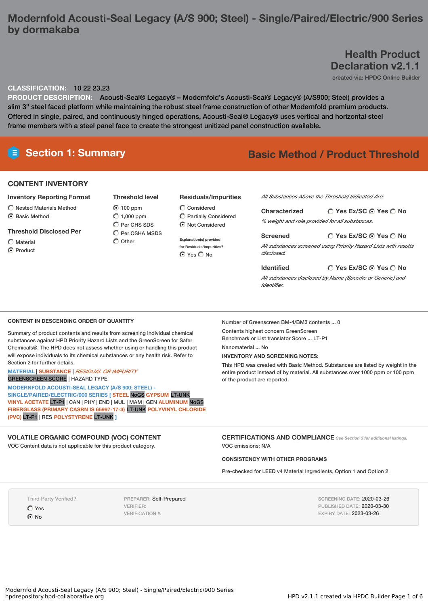# **Modernfold Acousti-Seal Legacy (A/S 900; Steel) - Single/Paired/Electric/900 Series by dormakaba**

# **Health Product Declaration v2.1.1**

created via: HPDC Online Builder

### **CLASSIFICATION:** 10 22 23.23

**PRODUCT DESCRIPTION:** Acousti-Seal® Legacy® – Modernfold's Acousti-Seal® Legacy® (A/S900; Steel) provides a slim 3" steel faced platform while maintaining the robust steel frame construction of other Modernfold premium products. Offered in single, paired, and continuously hinged operations, Acousti-Seal® Legacy® uses vertical and horizontal steel frame members with a steel panel face to create the strongest unitized panel construction available.

# **Section 1: Summary Basic Method / Product Threshold**

#### **CONTENT INVENTORY**

#### **Inventory Reporting Format**

 $\bigcirc$  Nested Materials Method **6** Basic Method

#### **Threshold Disclosed Per**

- $\bigcap$  Material
- C Product

| <b>Threshold level</b> |
|------------------------|
| $\odot$ 100 ppm        |
| $\bigcirc$ 1,000 ppm   |
| C Per GHS SDS          |
| C Per OSHA MSDS        |
| $\bigcirc$ Other       |

#### **Residuals/Impurities**

 $\bigcirc$  Considered Partially Considered  $\odot$  Not Considered

**Explanation(s) provided for Residuals/Impurities?** ⊙ Yes O No

*All Substances Above the Threshold Indicated Are:*

**Yes Ex/SC Yes No Characterized** *% weight and role provided for all substances.*

**Yes Ex/SC Yes No Screened** *All substances screened using Priority Hazard Lists with results disclosed.*

**Yes Ex/SC Yes No Identified** *All substances disclosed by Name (Specific or Generic) and Identifier.*

#### **CONTENT IN DESCENDING ORDER OF QUANTITY**

Summary of product contents and results from screening individual chemical substances against HPD Priority Hazard Lists and the GreenScreen for Safer Chemicals®. The HPD does not assess whether using or handling this product will expose individuals to its chemical substances or any health risk. Refer to Section 2 for further details.

#### **MATERIAL** | **SUBSTANCE** | *RESIDUAL OR IMPURITY* GREENSCREEN SCORE | HAZARD TYPE

**MODERNFOLD ACOUSTI-SEAL LEGACY (A/S 900; STEEL) - SINGLE/PAIRED/ELECTRIC/900 SERIES [ STEEL** NoGS **GYPSUM** LT-UNK **VINYL ACETATE** LT-P1 | CAN | PHY | END | MUL | MAM | GEN **ALUMINUM** NoGS **FIBERGLASS (PRIMARY CASRN IS 65997-17-3)** LT-UNK **POLYVINYL CHLORIDE (PVC)** LT-P1 | RES **POLYSTYRENE** LT-UNK **]**

### **VOLATILE ORGANIC COMPOUND (VOC) CONTENT**

VOC Content data is not applicable for this product category.

Number of Greenscreen BM-4/BM3 contents ... 0 Contents highest concern GreenScreen Benchmark or List translator Score ... LT-P1 Nanomaterial ... No

#### **INVENTORY AND SCREENING NOTES:**

This HPD was created with Basic Method. Substances are listed by weight in the entire product instead of by material. All substances over 1000 ppm or 100 ppm of the product are reported.

**CERTIFICATIONS AND COMPLIANCE** *See Section <sup>3</sup> for additional listings.* VOC emissions: N/A

### **CONSISTENCY WITH OTHER PROGRAMS**

Pre-checked for LEED v4 Material Ingredients, Option 1 and Option 2

Third Party Verified?

Yes C No

PREPARER: Self-Prepared VERIFIER: VERIFICATION #:

SCREENING DATE: 2020-03-26 PUBLISHED DATE: 2020-03-30 EXPIRY DATE: 2023-03-26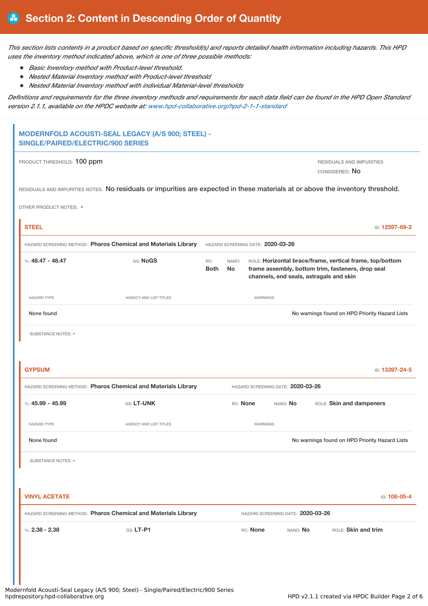This section lists contents in a product based on specific threshold(s) and reports detailed health information including hazards. This HPD *uses the inventory method indicated above, which is one of three possible methods:*

- *Basic Inventory method with Product-level threshold.*
- *Nested Material Inventory method with Product-level threshold*
- *Nested Material Inventory method with individual Material-level thresholds*

Definitions and requirements for the three inventory methods and requirements for each data field can be found in the HPD Open Standard *version 2.1.1, available on the HPDC website at: [www.hpd-collaborative.org/hpd-2-1-1-standard](https://www.hpd-collaborative.org/hpd-2-1-1-standard)*

| PRODUCT THRESHOLD: 100 ppm                                       |                                                                                                                                 |                                          |          |                                                                                              | RESIDUALS AND IMPURITIES<br>CONSIDERED: NO |                                                          |
|------------------------------------------------------------------|---------------------------------------------------------------------------------------------------------------------------------|------------------------------------------|----------|----------------------------------------------------------------------------------------------|--------------------------------------------|----------------------------------------------------------|
|                                                                  | RESIDUALS AND IMPURITIES NOTES: No residuals or impurities are expected in these materials at or above the inventory threshold. |                                          |          |                                                                                              |                                            |                                                          |
| OTHER PRODUCT NOTES: -                                           |                                                                                                                                 |                                          |          |                                                                                              |                                            |                                                          |
| <b>STEEL</b>                                                     |                                                                                                                                 |                                          |          |                                                                                              |                                            | ID: 12597-69-2                                           |
|                                                                  | HAZARD SCREENING METHOD: Pharos Chemical and Materials Library                                                                  | HAZARD SCREENING DATE: 2020-03-26        |          |                                                                                              |                                            |                                                          |
| %: $48.47 - 48.47$                                               | GS: NoGS                                                                                                                        | NANO:<br>RC:<br><b>Both</b><br><b>No</b> |          | frame assembly, bottom trim, fasteners, drop seal<br>channels, end seals, astragals and skin |                                            | ROLE: Horizontal brace/frame, vertical frame, top/bottom |
| <b>HAZARD TYPE</b>                                               | AGENCY AND LIST TITLES                                                                                                          |                                          | WARNINGS |                                                                                              |                                            |                                                          |
| None found                                                       |                                                                                                                                 |                                          |          |                                                                                              |                                            | No warnings found on HPD Priority Hazard Lists           |
|                                                                  |                                                                                                                                 |                                          |          |                                                                                              |                                            |                                                          |
|                                                                  | HAZARD SCREENING METHOD: Pharos Chemical and Materials Library                                                                  |                                          |          | HAZARD SCREENING DATE: 2020-03-26                                                            |                                            | ID: 13397-24-5                                           |
|                                                                  | GS: LT-UNK                                                                                                                      |                                          | RC: None | NANO: No                                                                                     | ROLE: Skin and dampeners                   |                                                          |
| <b>HAZARD TYPE</b>                                               | <b>AGENCY AND LIST TITLES</b>                                                                                                   |                                          | WARNINGS |                                                                                              |                                            |                                                          |
| None found                                                       |                                                                                                                                 |                                          |          |                                                                                              |                                            | No warnings found on HPD Priority Hazard Lists           |
| <b>GYPSUM</b><br>%: $45.99 - 45.99$<br><b>SUBSTANCE NOTES: -</b> |                                                                                                                                 |                                          |          |                                                                                              |                                            |                                                          |
| <b>VINYL ACETATE</b>                                             |                                                                                                                                 |                                          |          |                                                                                              |                                            | ID: 108-05-4                                             |
|                                                                  | HAZARD SCREENING METHOD: Pharos Chemical and Materials Library                                                                  |                                          |          | HAZARD SCREENING DATE: 2020-03-26                                                            |                                            |                                                          |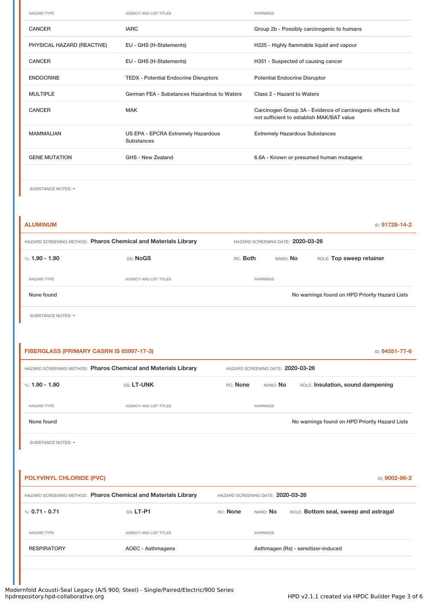| <b>HAZARD TYPE</b>         | <b>AGENCY AND LIST TITLES</b>                    | <b>WARNINGS</b>                                            |
|----------------------------|--------------------------------------------------|------------------------------------------------------------|
| <b>CANCER</b>              | <b>IARC</b>                                      | Group 2b - Possibly carcinogenic to humans                 |
| PHYSICAL HAZARD (REACTIVE) | EU - GHS (H-Statements)                          | H225 - Highly flammable liquid and vapour                  |
| <b>CANCER</b>              | EU - GHS (H-Statements)                          | H351 - Suspected of causing cancer                         |
| <b>ENDOCRINE</b>           | <b>TEDX - Potential Endocrine Disruptors</b>     | <b>Potential Endocrine Disruptor</b>                       |
| <b>MULTIPLE</b>            | German FEA - Substances Hazardous to Waters      | Class 2 - Hazard to Waters                                 |
| <b>CANCER</b>              | <b>MAK</b>                                       | Carcinogen Group 3A - Evidence of carcinogenic effects but |
|                            |                                                  | not sufficient to establish MAK/BAT value                  |
| <b>MAMMALIAN</b>           | US EPA - EPCRA Extremely Hazardous<br>Substances | <b>Extremely Hazardous Substances</b>                      |
| <b>GENE MUTATION</b>       | GHS - New Zealand                                | 6.6A - Known or presumed human mutagens                    |

| <b>ALUMINUM</b>                                                |                               |                                   |          | ID: 91728-14-2                                 |  |
|----------------------------------------------------------------|-------------------------------|-----------------------------------|----------|------------------------------------------------|--|
| HAZARD SCREENING METHOD: Pharos Chemical and Materials Library |                               | HAZARD SCREENING DATE: 2020-03-26 |          |                                                |  |
| %: $1.90 - 1.90$                                               | GS: NoGS                      | RC: Both                          | NANO: No | ROLE: Top sweep retainer                       |  |
| <b>HAZARD TYPE</b>                                             | <b>AGENCY AND LIST TITLES</b> | WARNINGS                          |          |                                                |  |
| None found                                                     |                               |                                   |          | No warnings found on HPD Priority Hazard Lists |  |

SUBSTANCE NOTES: -

| FIBERGLASS (PRIMARY CASRN IS 65997-17-3)<br>ID: 94551-77-6     |          |                                   |                                                |  |  |
|----------------------------------------------------------------|----------|-----------------------------------|------------------------------------------------|--|--|
| HAZARD SCREENING METHOD: Pharos Chemical and Materials Library |          | HAZARD SCREENING DATE: 2020-03-26 |                                                |  |  |
| GS: LT-UNK                                                     | RC: None | nano: <b>No</b>                   | ROLE: Insulation, sound dampening              |  |  |
| <b>AGENCY AND LIST TITLES</b>                                  |          |                                   |                                                |  |  |
|                                                                |          |                                   | No warnings found on HPD Priority Hazard Lists |  |  |
|                                                                |          |                                   |                                                |  |  |
|                                                                |          |                                   | WARNINGS                                       |  |  |

| <b>POLYVINYL CHLORIDE (PVC)</b><br>ID: 9002-86-2               |                               |                                   |                 |                                       |  |
|----------------------------------------------------------------|-------------------------------|-----------------------------------|-----------------|---------------------------------------|--|
| HAZARD SCREENING METHOD: Pharos Chemical and Materials Library |                               | HAZARD SCREENING DATE: 2020-03-26 |                 |                                       |  |
| %: $0.71 - 0.71$                                               | $GS: LT-P1$                   | RC: None                          | NANO: <b>No</b> | ROLE: Bottom seal, sweep and astragal |  |
| <b>HAZARD TYPE</b>                                             | <b>AGENCY AND LIST TITLES</b> |                                   | <b>WARNINGS</b> |                                       |  |
| <b>RESPIRATORY</b>                                             | AOEC - Asthmagens             |                                   |                 | Asthmagen (Rs) - sensitizer-induced   |  |
|                                                                |                               |                                   |                 |                                       |  |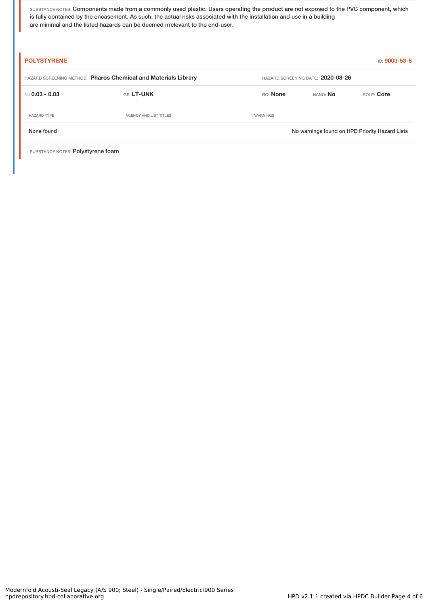SUBSTANCE NOTES: Components made from a commonly used plastic. Users operating the product are not exposed to the PVC component, which is fully contained by the encasement. As such, the actual risks associated with the installation and use in a building are minimal and the listed hazards can be deemed irrelevant to the end-user.

| <b>POLYSTYRENE</b>                                             |                        |                 |                                   | ID: 9003-53-6                                  |  |
|----------------------------------------------------------------|------------------------|-----------------|-----------------------------------|------------------------------------------------|--|
| HAZARD SCREENING METHOD: Pharos Chemical and Materials Library |                        |                 | HAZARD SCREENING DATE: 2020-03-26 |                                                |  |
| %: 0.03 - 0.03                                                 | GS: LT-UNK             | RC: None        | NANO: No                          | ROLE: Core                                     |  |
| <b>HAZARD TYPE</b>                                             | AGENCY AND LIST TITLES | <b>WARNINGS</b> |                                   |                                                |  |
| None found                                                     |                        |                 |                                   | No warnings found on HPD Priority Hazard Lists |  |

SUBSTANCE NOTES: Polystyrene foam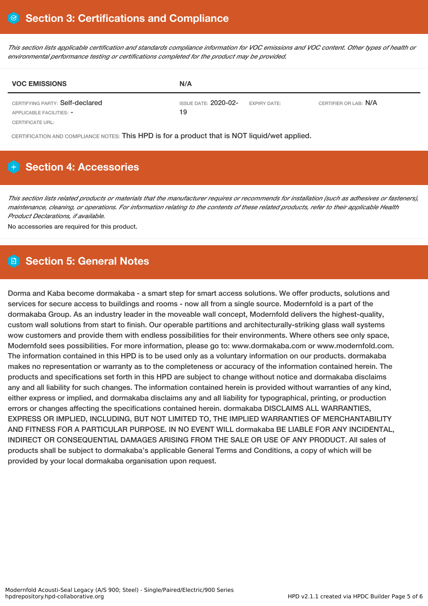This section lists applicable certification and standards compliance information for VOC emissions and VOC content. Other types of health or *environmental performance testing or certifications completed for the product may be provided.*

| <b>VOC EMISSIONS</b>                                        | N/A                                                      |                       |
|-------------------------------------------------------------|----------------------------------------------------------|-----------------------|
| CERTIFYING PARTY: Self-declared<br>APPLICABLE FACILITIES: - | ISSUE DATE: <b>2020-02-</b><br><b>EXPIRY DATE:</b><br>19 | CERTIFIER OR LAB: N/A |
| CERTIFICATE URL:                                            |                                                          |                       |

CERTIFICATION AND COMPLIANCE NOTES: This HPD is for a product that is NOT liquid/wet applied.

## **H** Section 4: Accessories

This section lists related products or materials that the manufacturer requires or recommends for installation (such as adhesives or fasteners), maintenance, cleaning, or operations. For information relating to the contents of these related products, refer to their applicable Health *Product Declarations, if available.*

No accessories are required for this product.

## **Section 5: General Notes**

Dorma and Kaba become dormakaba - a smart step for smart access solutions. We offer products, solutions and services for secure access to buildings and rooms - now all from a single source. Modernfold is a part of the dormakaba Group. As an industry leader in the moveable wall concept, Modernfold delivers the highest-quality, custom wall solutions from start to finish. Our operable partitions and architecturally-striking glass wall systems wow customers and provide them with endless possibilities for their environments. Where others see only space, Modernfold sees possibilities. For more information, please go to: www.dormakaba.com or www.modernfold.com. The information contained in this HPD is to be used only as a voluntary information on our products. dormakaba makes no representation or warranty as to the completeness or accuracy of the information contained herein. The products and specifications set forth in this HPD are subject to change without notice and dormakaba disclaims any and all liability for such changes. The information contained herein is provided without warranties of any kind, either express or implied, and dormakaba disclaims any and all liability for typographical, printing, or production errors or changes affecting the specifications contained herein. dormakaba DISCLAIMS ALL WARRANTIES, EXPRESS OR IMPLIED, INCLUDING, BUT NOT LIMITED TO, THE IMPLIED WARRANTIES OF MERCHANTABILITY AND FITNESS FOR A PARTICULAR PURPOSE. IN NO EVENT WILL dormakaba BE LIABLE FOR ANY INCIDENTAL, INDIRECT OR CONSEQUENTIAL DAMAGES ARISING FROM THE SALE OR USE OF ANY PRODUCT. All sales of products shall be subject to dormakaba's applicable General Terms and Conditions, a copy of which will be provided by your local dormakaba organisation upon request.